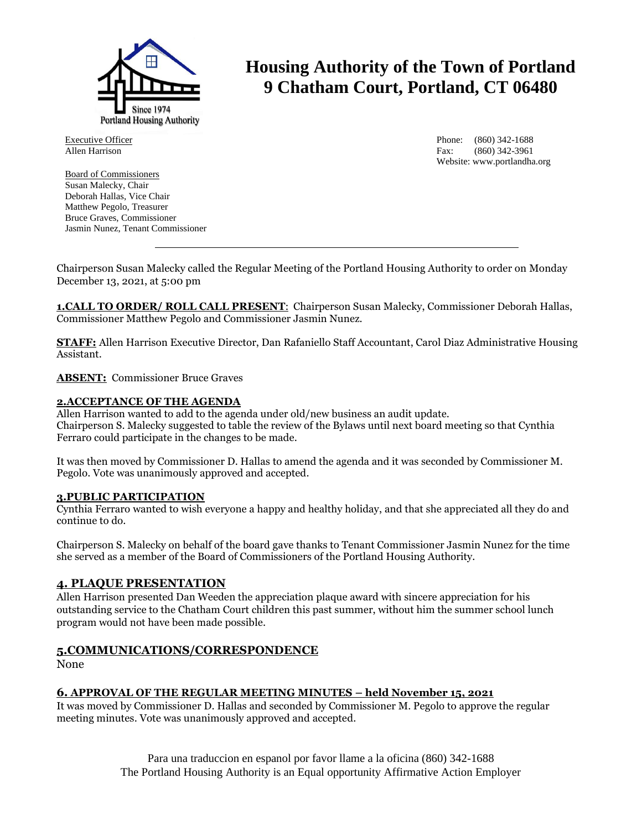

Executive Officer Allen Harrison

Board of Commissioners Susan Malecky, Chair Deborah Hallas, Vice Chair Matthew Pegolo, Treasurer Bruce Graves, Commissioner Jasmin Nunez, Tenant Commissioner

# **Housing Authority of the Town of Portland 9 Chatham Court, Portland, CT 06480**

Phone: (860) 342-1688 Fax: (860) 342-3961 Website: www.portlandha.org

Chairperson Susan Malecky called the Regular Meeting of the Portland Housing Authority to order on Monday December 13, 2021, at 5:00 pm

**1.CALL TO ORDER/ ROLL CALL PRESENT**: Chairperson Susan Malecky, Commissioner Deborah Hallas, Commissioner Matthew Pegolo and Commissioner Jasmin Nunez.

**STAFF:** Allen Harrison Executive Director, Dan Rafaniello Staff Accountant, Carol Diaz Administrative Housing Assistant.

**ABSENT:** Commissioner Bruce Graves

#### **2.ACCEPTANCE OF THE AGENDA**

Allen Harrison wanted to add to the agenda under old/new business an audit update. Chairperson S. Malecky suggested to table the review of the Bylaws until next board meeting so that Cynthia Ferraro could participate in the changes to be made.

It was then moved by Commissioner D. Hallas to amend the agenda and it was seconded by Commissioner M. Pegolo. Vote was unanimously approved and accepted.

#### **3.PUBLIC PARTICIPATION**

Cynthia Ferraro wanted to wish everyone a happy and healthy holiday, and that she appreciated all they do and continue to do.

Chairperson S. Malecky on behalf of the board gave thanks to Tenant Commissioner Jasmin Nunez for the time she served as a member of the Board of Commissioners of the Portland Housing Authority.

# **4. PLAQUE PRESENTATION**

Allen Harrison presented Dan Weeden the appreciation plaque award with sincere appreciation for his outstanding service to the Chatham Court children this past summer, without him the summer school lunch program would not have been made possible.

# **5.COMMUNICATIONS/CORRESPONDENCE**

None

# **6. APPROVAL OF THE REGULAR MEETING MINUTES – held November 15, 2021**

It was moved by Commissioner D. Hallas and seconded by Commissioner M. Pegolo to approve the regular meeting minutes. Vote was unanimously approved and accepted.

> Para una traduccion en espanol por favor llame a la oficina (860) 342-1688 The Portland Housing Authority is an Equal opportunity Affirmative Action Employer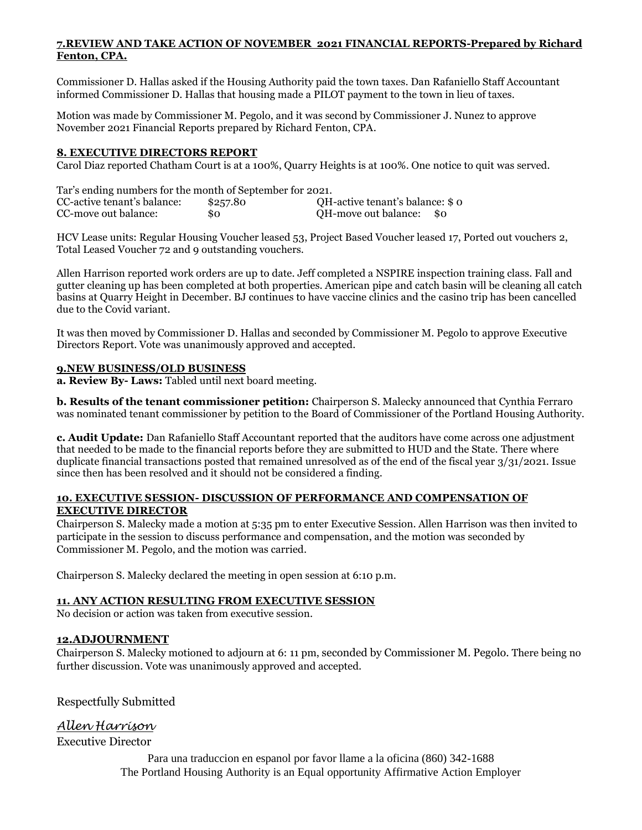#### **7.REVIEW AND TAKE ACTION OF NOVEMBER 2021 FINANCIAL REPORTS-Prepared by Richard Fenton, CPA.**

Commissioner D. Hallas asked if the Housing Authority paid the town taxes. Dan Rafaniello Staff Accountant informed Commissioner D. Hallas that housing made a PILOT payment to the town in lieu of taxes.

Motion was made by Commissioner M. Pegolo, and it was second by Commissioner J. Nunez to approve November 2021 Financial Reports prepared by Richard Fenton, CPA.

# **8. EXECUTIVE DIRECTORS REPORT**

Carol Diaz reported Chatham Court is at a 100%, Quarry Heights is at 100%. One notice to quit was served.

| Tar's ending numbers for the month of September for 2021. |          |                                 |
|-----------------------------------------------------------|----------|---------------------------------|
| CC-active tenant's balance:                               | \$257.80 | QH-active tenant's balance: \$0 |
| CC-move out balance:                                      | 80       | QH-move out balance:<br>- \$0   |

HCV Lease units: Regular Housing Voucher leased 53, Project Based Voucher leased 17, Ported out vouchers 2, Total Leased Voucher 72 and 9 outstanding vouchers.

Allen Harrison reported work orders are up to date. Jeff completed a NSPIRE inspection training class. Fall and gutter cleaning up has been completed at both properties. American pipe and catch basin will be cleaning all catch basins at Quarry Height in December. BJ continues to have vaccine clinics and the casino trip has been cancelled due to the Covid variant.

It was then moved by Commissioner D. Hallas and seconded by Commissioner M. Pegolo to approve Executive Directors Report. Vote was unanimously approved and accepted.

#### **9.NEW BUSINESS/OLD BUSINESS**

**a. Review By- Laws:** Tabled until next board meeting.

**b. Results of the tenant commissioner petition:** Chairperson S. Malecky announced that Cynthia Ferraro was nominated tenant commissioner by petition to the Board of Commissioner of the Portland Housing Authority.

**c. Audit Update:** Dan Rafaniello Staff Accountant reported that the auditors have come across one adjustment that needed to be made to the financial reports before they are submitted to HUD and the State. There where duplicate financial transactions posted that remained unresolved as of the end of the fiscal year 3/31/2021. Issue since then has been resolved and it should not be considered a finding.

#### **10. EXECUTIVE SESSION- DISCUSSION OF PERFORMANCE AND COMPENSATION OF EXECUTIVE DIRECTOR**

Chairperson S. Malecky made a motion at 5:35 pm to enter Executive Session. Allen Harrison was then invited to participate in the session to discuss performance and compensation, and the motion was seconded by Commissioner M. Pegolo, and the motion was carried.

Chairperson S. Malecky declared the meeting in open session at 6:10 p.m.

# **11. ANY ACTION RESULTING FROM EXECUTIVE SESSION**

No decision or action was taken from executive session.

# **12.ADJOURNMENT**

Chairperson S. Malecky motioned to adjourn at 6: 11 pm, seconded by Commissioner M. Pegolo. There being no further discussion. Vote was unanimously approved and accepted.

Respectfully Submitted

# *Allen Harrison*

Executive Director

Para una traduccion en espanol por favor llame a la oficina (860) 342-1688 The Portland Housing Authority is an Equal opportunity Affirmative Action Employer